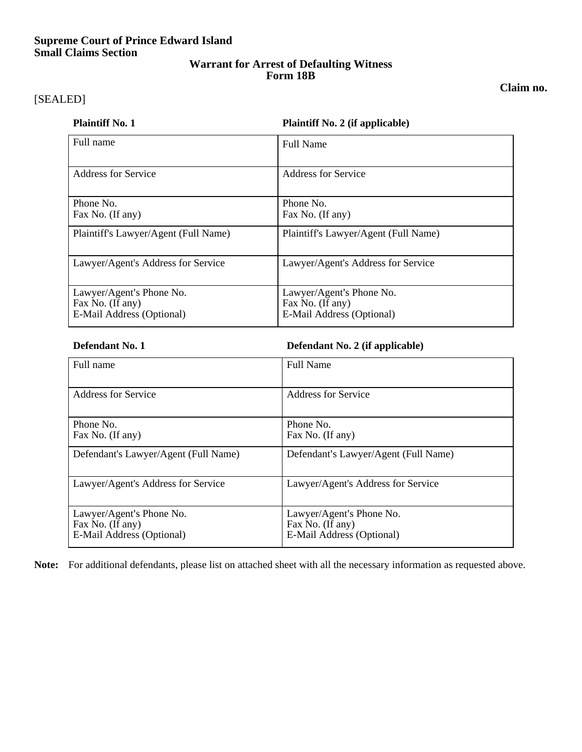# **Supreme Court of Prince Edward Island Small Claims Section**

# **Warrant for Arrest of Defaulting Witness Form 18B**

### **Claim no.**

# [SEALED]

### **Plaintiff No. 1 Plaintiff No. 2 (if applicable)**

| Full name                                                                 | <b>Full Name</b>                                                          |
|---------------------------------------------------------------------------|---------------------------------------------------------------------------|
| Address for Service                                                       | Address for Service                                                       |
| Phone No.<br>Fax No. (If any)                                             | Phone No.<br>Fax No. (If any)                                             |
| Plaintiff's Lawyer/Agent (Full Name)                                      | Plaintiff's Lawyer/Agent (Full Name)                                      |
| Lawyer/Agent's Address for Service                                        | Lawyer/Agent's Address for Service                                        |
| Lawyer/Agent's Phone No.<br>Fax No. (If any)<br>E-Mail Address (Optional) | Lawyer/Agent's Phone No.<br>Fax No. (If any)<br>E-Mail Address (Optional) |

# **Defendant No. 1 Defendant No. 2 (if applicable)**

| Full name                                                                 | <b>Full Name</b>                                                          |
|---------------------------------------------------------------------------|---------------------------------------------------------------------------|
| <b>Address for Service</b>                                                | <b>Address for Service</b>                                                |
| Phone No.<br>Fax No. (If any)                                             | Phone No.<br>Fax No. (If any)                                             |
| Defendant's Lawyer/Agent (Full Name)                                      | Defendant's Lawyer/Agent (Full Name)                                      |
| Lawyer/Agent's Address for Service                                        | Lawyer/Agent's Address for Service                                        |
| Lawyer/Agent's Phone No.<br>Fax No. (If any)<br>E-Mail Address (Optional) | Lawyer/Agent's Phone No.<br>Fax No. (If any)<br>E-Mail Address (Optional) |

**Note:** For additional defendants, please list on attached sheet with all the necessary information as requested above.